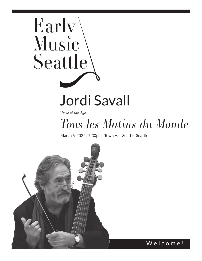# Early Seattle Jordi Savall

*Music of the Ages*

## *Tous les Matins du Monde*

March 6, 2022 | 7:30pm | Town Hall Seattle, Seattle



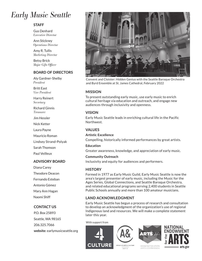### *Early Music Seattle*

### **STAFF**

Gus Denhard *Executive Director*

Ann Stickney *Operations Director*

Amy R. Tullis *Marketing Director*

Betsy Brick *Major Gifts Officer*

### **BOARD OF DIRECTORS**

Aly Gardner-Shelby *President*

Britt East *Vice President*

Harry Reinert *Secretary*

Richard Ginnis *Treasurer*

Jim Hessler

Nick Ketter

Laura Payne

Mauricio Roman

Lindsey Strand-Polyak

Sarah Thomson

Paul Veilleux

### **ADVISORY BOARD**

Diana Carey Theodore Deacon Fernando Esteban Antonio Gómez Mary Ann Hagan Naomi Shiff

### **CONTACT US**

P.O. Box 25893 Seattle, WA 98165 206.325.7066 **website:** earlymusicseattle.org



Convent and Cloister: Hidden Genius with the Seattle Baroque Orchestra and Byrd Ensemble at St. James Cathedral, February 2022

### **MISSION**

To present outstanding early music, use early music to enrich cultural heritage via education and outreach, and engage new audiences through inclusivity and openness.

### **VISION**

Early Music Seattle leads in enriching cultural life in the Pacific Northwest.

### **VALUES**

**Artistic Excellence** Compelling, historically informed performances by great artists.

### **Education**

Greater awareness, knowledge, and appreciation of early music.

**Community Outreach** Inclusivity and equity for audiences and performers.

### **HISTORY**

Formed in 1977 as Early Music Guild, Early Music Seattle is now the area's largest presenter of early music, including the Music for the Ages Series, Global Connections, and Seattle Baroque Orchestra, and related educational programs serving 2,400 students in Seattle Public Schools annually and more than 100 amateur musicians.

### **LAND ACKNOWLEDGMENT**

Early Music Seattle has begun a process of research and consultation to develop an acknowledgment of the organization's use of regional Indigenous land and resources. We will make a complete statement later this year.

With support from





**SEATTLE** 



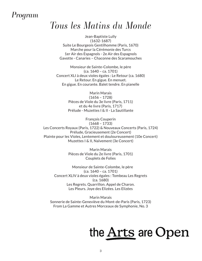### *Program*

### *Tous les Matins du Monde*

Jean-Baptiste Lully (1632-1687) Suite Le Bourgeois Gentilhomme (Paris, 1670) Marche pour la Cérémonie des Turcs 1er Air des Espagnols - 2e Air des Espagnols Gavotte - Canaries – Chaconne des Scaramouches

Monsieur de Sainte-Colombe, le père (ca. 1640 – ca. 1701) Concert XLI à deux violes égales : Le Retour (ca. 1680) Le Retour. En gigue. En menuet. En gigue. En courante. Balet tendre. En pianelle

> Marin Marais (1656 – 1728) Pièces de Viole du 3e livre (Paris, 1711) et du 4e livre (Paris, 1717) Prélude - Muzettes I & II - La Sautillante

François Couperin (1668 – 1733) Les Concerts Royaux (Paris, 1722) & Nouveaux Concerts (Paris, 1724) Prélude, Gracieusement (2e Concert) Plainte pour les Violes, Lentement et douloureusement (10e Concert) Muzettes I & II, Naïvement (3e Concert)

> Marin Marais Pièces de Viole du 2e livre (Paris, 1701) Couplets de Folies

Monsieur de Sainte-Colombe, le père (ca. 1640 – ca. 1701) Concert XLIV à deux violes égales : Tombeau Les Regrets (ca. 1680) Les Regrets. Quarrillon. Appel de Charon. Les Pleurs. Joye des Elizées. Les Elizées

Marin Marais Sonnerie de Sainte-Geneviève du Mont-de-Paris (Paris, 1723) From La Gamme et Autres Morceaux de Symphonie, No. 3

# the Arts are Open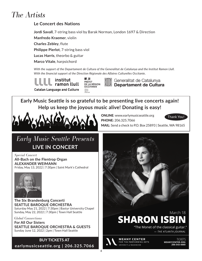### *The Artists*

### **Le Concert des Nations**

**Jordi Savall**, 7-string bass viol by Barak Norman, London 1697 & Direction

**Manfredo Kraemer**, violin

**Charles Zebley**, flute

**Philippe Pierlot**, 7-string bass viol

**Lucas Harris**, theorbo & guitar

**Marco Vitale**, harpsichord

*With the support of the Departament de Cultura of the Generalitat de Catalunya and the Institut Ramon Llull. With the financial support of the Direction Régionale des Affaires Culturelles Occitanie.*

institut ramon IIull **Catalan Language and Culture** 



Generalitat de Catalunya Departament de Cultura

**Early Music Seattle is so grateful to be presenting live concerts again! Help us keep the joyous music alive! Donating is easy!**



ONLINE: www.earlymusicseattle.org PHONE: 206.325.7066

Thank You!

MAIL: Send a check to P.O. Box 25893 | Seattle, WA 98165

### *Early Music Seattle Presents* **LIVE IN CONCERT**

*Special Concert* **All-Bach on the Flentrop Organ ALEXANDER WEIMANN**  Friday, May 13, 2022 | 7:30pm | Saint Mark's Cathedral



**The Six Brandenburg Concerti SEATTLE BAROQUE ORCHESTRA** Saturday May 21, 2022 | 7:30pm | Bastyr University Chapel Sunday, May 22, 2022 | 7:30pm | Town Hall Seattle

*Global Connections* **For All Our Sisters SEATTLE BAROQUE ORCHESTRA & GUESTS** Sunday June 12, 2022 | 2pm | Town Hall Seattle

**BUY TICKETS AT earlymusicseattle.org | 206.325.7066**

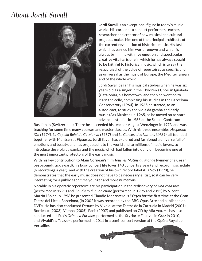### *About Jordi Savall*



**Jordi Savall** is an exceptional figure in today's music world. His career as a concert performer, teacher, researcher and creator of new musical and cultural projects, makes him one of the principal architects of the current revaluation of historical music. His task, which has earned him world renown and which is always brimming with live emotion and spectacular creative vitality, is one in which he has always sought to be faithful to historical music, which is to say the reappraisal of the value of repertoires as specific and as universal as the music of Europe, the Mediterranean and of the whole world.

Jordi Savall began his musical studies when he was six years old as a singer in the Children's Choir in Igualada (Catalonia), his hometown, and then he went on to learn the cello, completing his studies in the Barcelona Conservatory (1964). In 1965 he started, as an autodicact, to study the viola da gamba and early music (Ars Musicae) in 1965, so he moved on to start advanced studies in 1968 at the Schola Cantorum

Basiliensis (Switzerland). There he succeeded his teacher August Wenzinger in 1973, and was teaching for some time many courses and master classes. With his three ensembles *Hespèrion XXI (1974), La Capella Reial de Catalunya (1987)* and *Le Concert des Nations (1989),* all founded together with Montserrat Figueras. Jordi Savall has explored and fashioned a universe full of emotions and beauty, and has projected it to the world and to millions of music lovers, to introduce the viola da gamba and the music which had fallen into oblivion, becoming one of the most important protectors of the early music.

With his key contribution to Alain Corneau's film *Tous les Matins du Monde* (winner of a César best-soundtrack award), his busy concert life (over 140 concerts a year) and recording schedule (6 recordings a year), and with the creation of his own record label Alia Vox (1998), he demonstrates that the early music does not have to be necessary elitist, so it can be very interesting for a public each time younger and more numerous.

Notable in his operatic repertoire are his participation in the rediscovery of *Una cosa rara*  (performed in 1991) and *Il burbero di buon cuore* (performed in 1995 and 2012) by Vicent Martín i Soler. In 1993 he presented Claudio Monteverdi's *L'Orfeo* for the first time at the Gran Teatre del Liceu, Barcelona, (in 2002 it was recorded by the BBC-Opus Arte and published on DVD). He has also conducted *Farnace* by Vivaldi at the Teatro de la Zarzuela in Madrid (2001), Bordeaux (2003), Vienna (2005), Paris (2007) and published on CD by Alia Vox. He has also conducted J. J. Fux's *Orfeo ed Euridice*, performed at the Styriarte Festival in Graz in 2010, and Vivaldi's *Il Teuzzone* performed in 2011 in a semi-concert version at the Opéra Royal de Versailles.

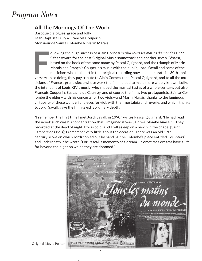### *Program Notes*

### **All The Mornings Of The World**

Baroque dialogues; grace and folly Jean-Baptiste Lully & François Couperin Monsieur de Sainte Colombe & Marin Marais

In Sollowing the huge success of Alain Corneau's film Touts les matins du monde (1992<br>César Award for the best Original Music soundtrack and another seven Césars),<br>based on the book of the same name by Pascal Quignard, and ollowing the huge success of Alain Corneau's film *Touts les matins du monde* (1992 César Award for the best Original Music soundtrack and another seven Césars), based on the book of the same name by Pascal Quignard, and the triumph of Marin Marais and François Couperin's music with the public, Jordi Savall and some of the musicians who took part in that original recording now commemorate its 30th annisicians of France's grand siècle whose work the film helped to make more widely known: Lully, the intendant of Louis XIV's music, who shaped the musical tastes of a whole century, but also François Couperin, Eustache de Caurroy, and of course the film's two protagonists, Sainte-Colombe the elder—with his concerts for two viols—and Marin Marais, thanks to the luminous virtuosity of these wonderful pieces for viol, with their nostalgia and reverie, and which, thanks to Jordi Savall, gave the film its extraordinary depth.

"I remember the first time I met Jordi Savall, in 1990," writes Pascal Quignard. "He had read the novel: such was his concentration that I imagined it was Sainte-Colombe himself… They recorded at the dead of night. It was cold. And I fell asleep on a bench in the chapel [Saint Lambert des Bois]; I remember very little about the occasion. There was an old 17th century score on which Jordi copied out by hand Sainte-Colombe's piece entitled '*Les Pleurs*', and underneath it he wrote, 'For Pascal, a memento of a dream'… Sometimes dreams have a life far beyond the night on which they are dreamed."



Original Movie Poster

 $\overline{r}$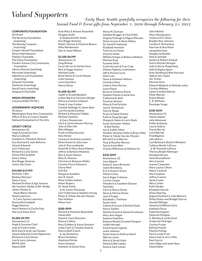### *Valued Supporters*

### *Early Music Seattle gratefully recognizes the following for their Annual Fund & Event gifts from September 1, 2020 through February 25, 2022*

### CORPORATE/FOUNDATION

ArtsFund The Benevity Foundation (matching) The Boeing Company (matching) Cooper-Newell Foundation Direct Mail Network Fidelity Charitable The Gates Foundation Greater Kansas City Community Foundation Liberty Mutual (matching) Microsoft (matching) Salesforce.com Foundation (matching) Schwab Charitable Starbucks (matching) StockCharts (matching) Vanguard Charitable

### MEDIA SPONSORS

Classical KING FM 98.1

### GOVERNMENT AGENCIES

4Culture Washington State Arts Commission Office of Arts & Culture Seattle National Endowment of the Arts

#### LEGACY CIRCLE

Anonymous (2) Hugh & Suzanne Clark Maria Coldwell Goodwin & Theodore Deacon Gus Denhard & Julie Behrens JoLynn Edwards Lorri Falterman Richard & Carla Ginnis Donna McCampbell Nancy Sharp Ann Briggs Stickney Janice Van Cleve

#### \$10,000-\$19,999

Nicholas J. Bez Barbara BonJour Diana Carey Michael Dryfoos & Ilga Jansons Aly Gardner-Shelby & Bill Shelby James Hessler & Paula Weiss-Hessler David Lawrence & Carla Tachau Lawrence Donna McCampbell Peggy Monroe Harry Reinert & Cecilia Paul Marcia & Klaus Zech

### \$5,000-\$9,999

Anonymous (1) Hugh & Suzanne Clark Joan & Frank Conlon Britt East & Scott van Gerpen JoLynn Edwards & Hal Opperman Richard & Carla Ginnis Lani & Larry Johnson Bill McJohn Naomi Shiff

Kate Riley & Amnon Shoenfeld Douglas Smith & Stephanie Ellis-Smith Ann Briggs Stickney Robert Vernon & Marjorie Bianco Mike Weidemann Dan & Joann Wilson

#### \$2,500-\$4,999

Anonymous (1) Greg Bishop Larry Herron & Harlow Sires Rick & Peggy Hudson Michael Leake Brian Marks & Carol Maione Irwin Sarason Laura Saunders Nancy Sharp

#### \$1,000-\$2,499

Judith & Arnold Bendich Luther Black & Christina Wright Maria & Charles Coldwell Frank & Joan Conlon Cynthia Dellinger & James Baer Luis Fernando Esteban Richard & Marjorie Fiddler Michele Genthon & Gary Zimmerman Chris & Jamia Hansen-Murray John & Ellen Hill Ellis Hillinger Frank & Della Houston Nick Ketter Charles & Gretchen Lambert Eileen Koven & John Leen Julie & Tom Lombardo David W. & Mary Anne Madsen Jeffrey & Barbara Mandula Rick & Anne Matsen Ellen K. Maxson Christian & Shannon Moller Carmen Flores Palomera Gloria Pfeif Erik Ruf Margaret Sandelin Ann R. Schuh Peter & Ellen Seibert Adam Shapiro Dr. Noah Smith & Dr. Karen Thickman Lorri Falterman & Stephen Strong Pieter & Tjitske Van der Meulen Paul Veilleux Mona Yurk

#### \$500-\$999

Richard & Eleanore Baxendale Hanan Bell David & Joyce Brewster Dianne Calkins Russ Childers & Karen Stockert Linda Clark & Timothy Stearns Marcia Beth Couch & Jay Domenico Bruce Danielson Stephana Ditzler Karen Domino Kathleen & Daniel Dow

Maria M. Durham Stephen Brugger & Clea Finkle Virginia Fitzhugh & Miguel Morales Diane Grover & Mark Kibbry Dr. David P. Halstead Elizabeth Homeier Travis & Lea Howe Victoria Isham William Kangas & Rebecca Bullock Michael King Suzanne Klein Curtis Kovach & Fran Czak Dianne Figlewicz Lattemann Jeff & Kiyomi Lucas Mark Lutz Steve & Kathleen Melson Christine Moss Linda & Alan Murray Laura Payne Bruce & Christina Petrie Stephen Poteet & Anne Kao Catharine B. Reid Suzanne Sarason Maya & Fred Schulze Jean E. Schweitzer Gerrity Shupe Grace & David Simons Katie & Doug Sprugel Margaret Swain & Larry Stark Susan Schroeter-Stokes & Bob Stokes Lee & Judith Talner Heather Stickney Uhler & Brian Uhler Pieter & Tjitske Van der Meulen Bill and Carol Warren Tony & Roselee Warren Tom & Kristi Weir Charles Wilkinson & Melanie Ito

### \$250-\$499

Anonymous (2) Joan Algarin David & Joyce Brewster Joann Bromberg Eric & Susan Carlson Martin Casey Ilsa & Roger Coleman Connie Cooper Theodore & Goodwin Deacon Ted Dietz Chris & Nancy Doran Steve & Marion Elston Jean E Feagin Elizabeth L. Feetham Aaron Giles Celeste Ericsson & Richard Gold Nancy Goldov Martha Groom & Daniel Grunbaum Mary Ann Hagan Andrew Hamilton Barbara Reskin & Lowell Hargens Judith Herrigel Fred & Susan Ingham Lewis Johnson David Jones & Kathryn Raich Warren Jones Maria & Stuart Kahn Donna & Ben Lipsky Anne & Zach Lyman

John Mettler Mary Montgomery Yvette & Eric Olson Braiden Rex-Johnson Cynthia S. Richardson Harrison & Ana Ryker Jacqueline Savo Douglas Schneider Sharon Schuldt Sandra & Robert Schwab Gail & Michael Shurgot Judy & Verne Skagerberg Dale & Regina Spoor Kate Stenberg & Bob Harrison Valerie Ann Taylor Jim Truher Michael Voris Edward Waldock & Melinda Jodry Carolyn Wallace James & Kathy Warner Molly Warner Elaine Weeks C. R. Williams Penelope Yonge

#### \$100-\$249

Anonymous (5) Harlan Adams John Allemand Kathy Andeway Laurie Andrus Tracey Bernal Carol Berndt Fred Bigelow John Bolcer Carl Bolstad & Beatrix Wiedmer Cathryn Booth-LaForce & W. Kenneth LaForce Theresa Bright Hettinger Elizabeth Brown Janet Brynjolfsson Vera Cannon Jeanne Carpenter Mary Louise Clifton Nancy Cochran Alix Compton Jeffrey Conner Sarah Cooke Alice Corbin Ruth Darden Elizabeth Darrah Diana Deering August Denhard & Julie Behrens Philip Dickey and Bridget Dacres Donald Dillinger Johanna & William Dock Kathleen Dunn Todd Dunnington Deborah Ellington G. Bentley & Lynda Emel Frederick Flickinger Carolyn Fraser Belinda Frazier Martha Freitag Paul & Linda Frost Diana Gale & Jerry Hillis Raul Garcia John Gibbs and Janet Ness David Giblin